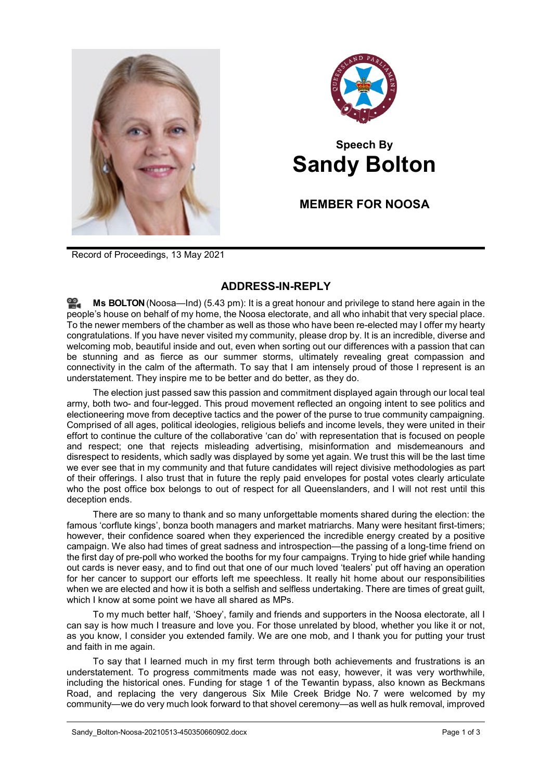



## **Speech By Sandy Bolton**

## **MEMBER FOR NOOSA**

Record of Proceedings, 13 May 2021

## **ADDRESS-IN-REPLY**

**Ms [BOLTON](http://www.parliament.qld.gov.au/docs/find.aspx?id=0Mba20210513_174338)**(Noosa—Ind) (5.43 pm): It is a great honour and privilege to stand here again in the people's house on behalf of my home, the Noosa electorate, and all who inhabit that very special place. To the newer members of the chamber as well as those who have been re-elected may I offer my hearty congratulations. If you have never visited my community, please drop by. It is an incredible, diverse and welcoming mob, beautiful inside and out, even when sorting out our differences with a passion that can be stunning and as fierce as our summer storms, ultimately revealing great compassion and connectivity in the calm of the aftermath. To say that I am intensely proud of those I represent is an understatement. They inspire me to be better and do better, as they do.

The election just passed saw this passion and commitment displayed again through our local teal army, both two- and four-legged. This proud movement reflected an ongoing intent to see politics and electioneering move from deceptive tactics and the power of the purse to true community campaigning. Comprised of all ages, political ideologies, religious beliefs and income levels, they were united in their effort to continue the culture of the collaborative 'can do' with representation that is focused on people and respect; one that rejects misleading advertising, misinformation and misdemeanours and disrespect to residents, which sadly was displayed by some yet again. We trust this will be the last time we ever see that in my community and that future candidates will reject divisive methodologies as part of their offerings. I also trust that in future the reply paid envelopes for postal votes clearly articulate who the post office box belongs to out of respect for all Queenslanders, and I will not rest until this deception ends.

There are so many to thank and so many unforgettable moments shared during the election: the famous 'corflute kings', bonza booth managers and market matriarchs. Many were hesitant first-timers; however, their confidence soared when they experienced the incredible energy created by a positive campaign. We also had times of great sadness and introspection—the passing of a long-time friend on the first day of pre-poll who worked the booths for my four campaigns. Trying to hide grief while handing out cards is never easy, and to find out that one of our much loved 'tealers' put off having an operation for her cancer to support our efforts left me speechless. It really hit home about our responsibilities when we are elected and how it is both a selfish and selfless undertaking. There are times of great guilt, which I know at some point we have all shared as MPs.

To my much better half, 'Shoey', family and friends and supporters in the Noosa electorate, all I can say is how much I treasure and love you. For those unrelated by blood, whether you like it or not, as you know, I consider you extended family. We are one mob, and I thank you for putting your trust and faith in me again.

To say that I learned much in my first term through both achievements and frustrations is an understatement. To progress commitments made was not easy, however, it was very worthwhile, including the historical ones. Funding for stage 1 of the Tewantin bypass, also known as Beckmans Road, and replacing the very dangerous Six Mile Creek Bridge No. 7 were welcomed by my community—we do very much look forward to that shovel ceremony—as well as hulk removal, improved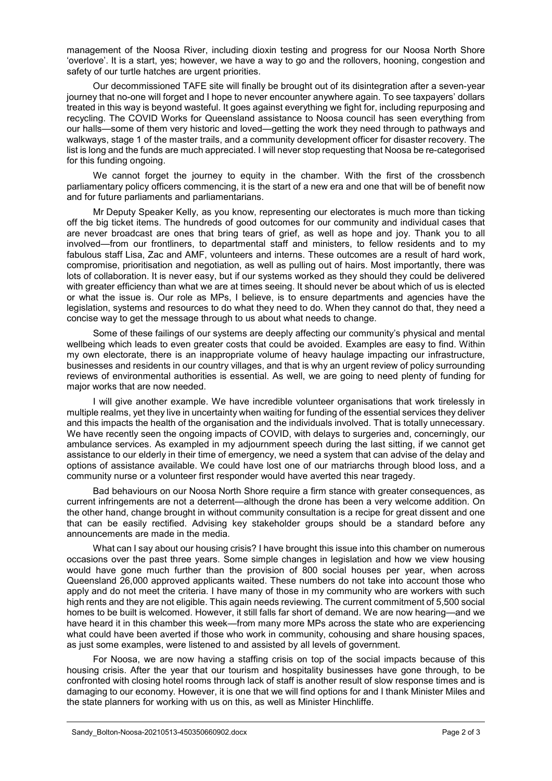management of the Noosa River, including dioxin testing and progress for our Noosa North Shore 'overlove'. It is a start, yes; however, we have a way to go and the rollovers, hooning, congestion and safety of our turtle hatches are urgent priorities.

Our decommissioned TAFE site will finally be brought out of its disintegration after a seven-year journey that no-one will forget and I hope to never encounter anywhere again. To see taxpayers' dollars treated in this way is beyond wasteful. It goes against everything we fight for, including repurposing and recycling. The COVID Works for Queensland assistance to Noosa council has seen everything from our halls—some of them very historic and loved—getting the work they need through to pathways and walkways, stage 1 of the master trails, and a community development officer for disaster recovery. The list is long and the funds are much appreciated. I will never stop requesting that Noosa be re-categorised for this funding ongoing.

We cannot forget the journey to equity in the chamber. With the first of the crossbench parliamentary policy officers commencing, it is the start of a new era and one that will be of benefit now and for future parliaments and parliamentarians.

Mr Deputy Speaker Kelly, as you know, representing our electorates is much more than ticking off the big ticket items. The hundreds of good outcomes for our community and individual cases that are never broadcast are ones that bring tears of grief, as well as hope and joy. Thank you to all involved—from our frontliners, to departmental staff and ministers, to fellow residents and to my fabulous staff Lisa, Zac and AMF, volunteers and interns. These outcomes are a result of hard work, compromise, prioritisation and negotiation, as well as pulling out of hairs. Most importantly, there was lots of collaboration. It is never easy, but if our systems worked as they should they could be delivered with greater efficiency than what we are at times seeing. It should never be about which of us is elected or what the issue is. Our role as MPs, I believe, is to ensure departments and agencies have the legislation, systems and resources to do what they need to do. When they cannot do that, they need a concise way to get the message through to us about what needs to change.

Some of these failings of our systems are deeply affecting our community's physical and mental wellbeing which leads to even greater costs that could be avoided. Examples are easy to find. Within my own electorate, there is an inappropriate volume of heavy haulage impacting our infrastructure, businesses and residents in our country villages, and that is why an urgent review of policy surrounding reviews of environmental authorities is essential. As well, we are going to need plenty of funding for major works that are now needed.

I will give another example. We have incredible volunteer organisations that work tirelessly in multiple realms, yet they live in uncertainty when waiting for funding of the essential services they deliver and this impacts the health of the organisation and the individuals involved. That is totally unnecessary. We have recently seen the ongoing impacts of COVID, with delays to surgeries and, concerningly, our ambulance services. As exampled in my adjournment speech during the last sitting, if we cannot get assistance to our elderly in their time of emergency, we need a system that can advise of the delay and options of assistance available. We could have lost one of our matriarchs through blood loss, and a community nurse or a volunteer first responder would have averted this near tragedy.

Bad behaviours on our Noosa North Shore require a firm stance with greater consequences, as current infringements are not a deterrent—although the drone has been a very welcome addition. On the other hand, change brought in without community consultation is a recipe for great dissent and one that can be easily rectified. Advising key stakeholder groups should be a standard before any announcements are made in the media.

What can I say about our housing crisis? I have brought this issue into this chamber on numerous occasions over the past three years. Some simple changes in legislation and how we view housing would have gone much further than the provision of 800 social houses per year, when across Queensland 26,000 approved applicants waited. These numbers do not take into account those who apply and do not meet the criteria. I have many of those in my community who are workers with such high rents and they are not eligible. This again needs reviewing. The current commitment of 5,500 social homes to be built is welcomed. However, it still falls far short of demand. We are now hearing—and we have heard it in this chamber this week—from many more MPs across the state who are experiencing what could have been averted if those who work in community, cohousing and share housing spaces, as just some examples, were listened to and assisted by all levels of government.

For Noosa, we are now having a staffing crisis on top of the social impacts because of this housing crisis. After the year that our tourism and hospitality businesses have gone through, to be confronted with closing hotel rooms through lack of staff is another result of slow response times and is damaging to our economy. However, it is one that we will find options for and I thank Minister Miles and the state planners for working with us on this, as well as Minister Hinchliffe.